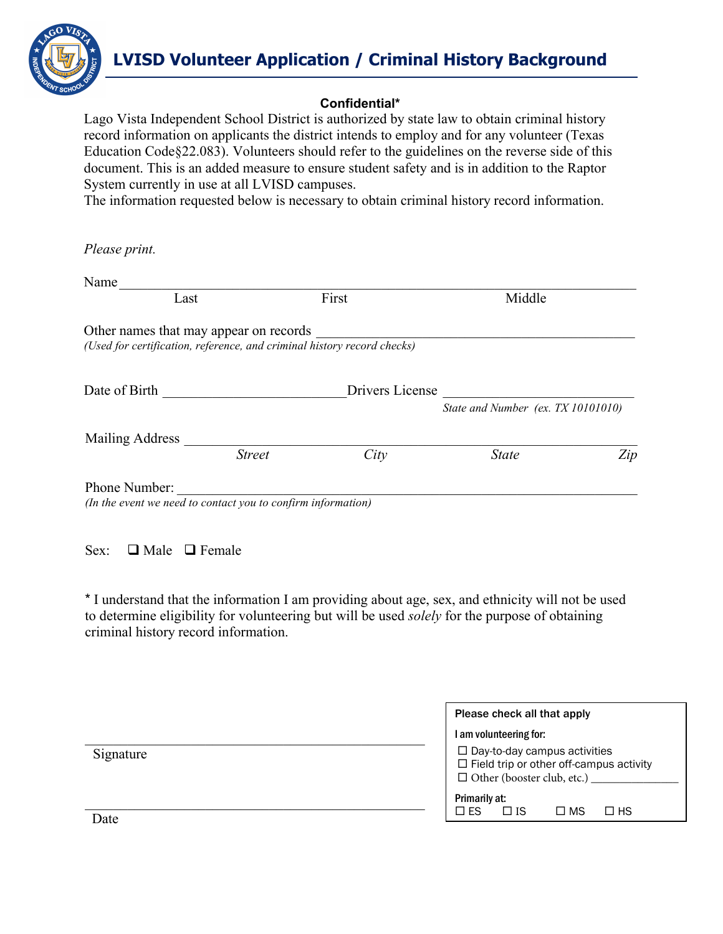

# **LVISD Volunteer Application / Criminal History Background**

#### **Confidential\***

Lago Vista Independent School District is authorized by state law to obtain criminal history record information on applicants the district intends to employ and for any volunteer (Texas Education Code§22.083). Volunteers should refer to the guidelines on the reverse side of this document. This is an added measure to ensure student safety and is in addition to the Raptor System currently in use at all LVISD campuses.

The information requested below is necessary to obtain criminal history record information.

*Please print.* 

| Name                                                                          |               |                                                                         |                                    |     |
|-------------------------------------------------------------------------------|---------------|-------------------------------------------------------------------------|------------------------------------|-----|
| Last                                                                          |               | First                                                                   | Middle                             |     |
| Other names that may appear on records                                        |               | (Used for certification, reference, and criminal history record checks) |                                    |     |
| Date of Birth                                                                 |               | Drivers License                                                         | State and Number (ex. TX 10101010) |     |
| Mailing Address                                                               |               |                                                                         |                                    |     |
|                                                                               | <b>Street</b> | City                                                                    | <b>State</b>                       | Zip |
| Phone Number:<br>(In the event we need to contact you to confirm information) |               |                                                                         |                                    |     |

Sex:  $\Box$  Male  $\Box$  Female

\* I understand that the information I am providing about age, sex, and ethnicity will not be used to determine eligibility for volunteering but will be used *solely* for the purpose of obtaining criminal history record information.

|           | Please check all that apply                                                                                                |  |
|-----------|----------------------------------------------------------------------------------------------------------------------------|--|
|           | I am volunteering for:                                                                                                     |  |
| Signature | $\Box$ Day-to-day campus activities<br>$\Box$ Field trip or other off-campus activity<br>$\Box$ Other (booster club, etc.) |  |
|           | Primarily at:<br>$\square$ ES<br>$\Box$ HS<br>$\Box$ IS<br>$\square$ MS                                                    |  |
| Date      |                                                                                                                            |  |